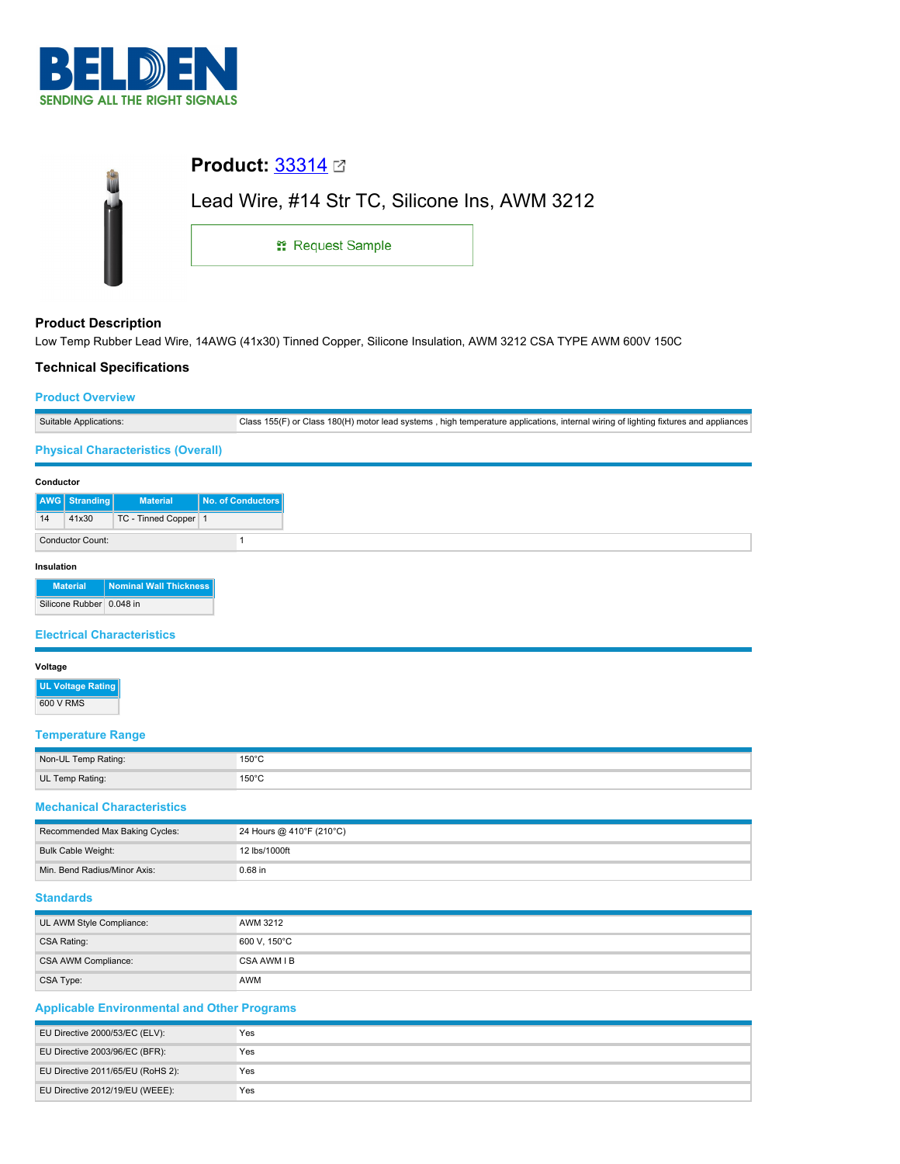

| <b>Product:</b> $33314 \boxtimes$             |  |
|-----------------------------------------------|--|
| Lead Wire, #14 Str TC, Silicone Ins, AWM 3212 |  |
| <sub>11</sub> Request Sample                  |  |
|                                               |  |

## **Product Description**

Low Temp Rubber Lead Wire, 14AWG (41x30) Tinned Copper, Silicone Insulation, AWM 3212 CSA TYPE AWM 600V 150C

## **Technical Specifications**

### **Product Overview**

| Suitable Applications:                    | Class 155(F) or Class 180(H) motor lead systems, high temperature applications, internal wiring of lighting fixtures and appliances |
|-------------------------------------------|-------------------------------------------------------------------------------------------------------------------------------------|
| <b>Physical Characteristics (Overall)</b> |                                                                                                                                     |

#### **Conductor**

| ---------  |                                                                                                                                 |                      |                   |
|------------|---------------------------------------------------------------------------------------------------------------------------------|----------------------|-------------------|
|            | AWG Stranding                                                                                                                   | <b>Material</b>      | No. of Conductors |
| 14         | 41x30                                                                                                                           | TC - Tinned Copper 1 |                   |
|            | <b>Conductor Count:</b>                                                                                                         |                      |                   |
| Insulation |                                                                                                                                 |                      |                   |
|            | $\mathcal{L}^{\text{max}}_{\text{max}}$ and $\mathcal{L}^{\text{max}}_{\text{max}}$ and $\mathcal{L}^{\text{max}}_{\text{max}}$ |                      |                   |

**Material Nominal Wall Thickness** Silicone Rubber 0.048 in

### **Electrical Characteristics**

#### **Voltage**

**UL Voltage Rating** 600 V RMS

## **Temperature Range**

| Non-UL Temp Rating: | 150°C<br>$\sim$ $\sim$ |
|---------------------|------------------------|
| UL Temp Rating:     | 150°C                  |

#### **Mechanical Characteristics**

| Recommended Max Baking Cycles: | 24 Hours @ 410°F (210°C) |
|--------------------------------|--------------------------|
| Bulk Cable Weight:             | 12 lbs/1000ft            |
| Min. Bend Radius/Minor Axis:   | $0.68$ in                |

# **Standards**

| UL AWM Style Compliance: | AWM 3212     |
|--------------------------|--------------|
| CSA Rating:              | 600 V, 150°C |
| CSA AWM Compliance:      | CSA AWM I B  |
| CSA Type:                | AWM          |

## **Applicable Environmental and Other Programs**

| EU Directive 2000/53/EC (ELV):    | Yes |
|-----------------------------------|-----|
| EU Directive 2003/96/EC (BFR):    | Yes |
| EU Directive 2011/65/EU (RoHS 2): | Yes |
| EU Directive 2012/19/EU (WEEE):   | Yes |